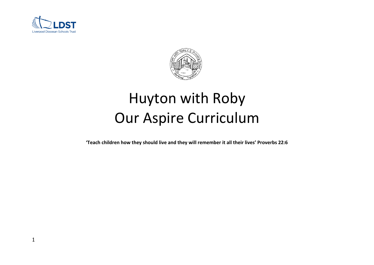



# Huyton with Roby Our Aspire Curriculum

**'Teach children how they should live and they will remember it all their lives' Proverbs 22:6**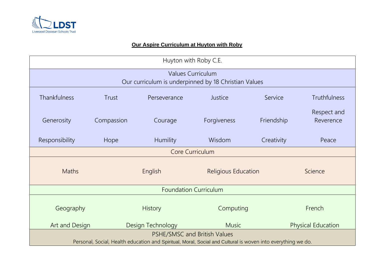

# **Our Aspire Curriculum at Huyton with Roby**

| Huyton with Roby C.E.                                                                                        |            |                   |                            |            |                           |  |  |  |
|--------------------------------------------------------------------------------------------------------------|------------|-------------------|----------------------------|------------|---------------------------|--|--|--|
| <b>Values Curriculum</b><br>Our curriculum is underpinned by 18 Christian Values                             |            |                   |                            |            |                           |  |  |  |
|                                                                                                              |            |                   |                            |            |                           |  |  |  |
| <b>Thankfulness</b>                                                                                          | Trust      | Perseverance      | Justice                    | Service    | <b>Truthfulness</b>       |  |  |  |
| Generosity                                                                                                   | Compassion | Courage           | Forgiveness                | Friendship | Respect and<br>Reverence  |  |  |  |
| Responsibility                                                                                               | Hope       | <b>Humility</b>   | Wisdom                     | Creativity | Peace                     |  |  |  |
| Core Curriculum                                                                                              |            |                   |                            |            |                           |  |  |  |
| <b>Maths</b>                                                                                                 | English    |                   | <b>Religious Education</b> |            | Science                   |  |  |  |
| <b>Foundation Curriculum</b>                                                                                 |            |                   |                            |            |                           |  |  |  |
| Geography                                                                                                    |            | <b>History</b>    | Computing                  |            | French                    |  |  |  |
| Art and Design                                                                                               |            | Design Technology | <b>Music</b>               |            | <b>Physical Education</b> |  |  |  |
| PSHE/SMSC and British Values                                                                                 |            |                   |                            |            |                           |  |  |  |
| Personal, Social, Health education and Spiritual, Moral, Social and Cultural is woven into everything we do. |            |                   |                            |            |                           |  |  |  |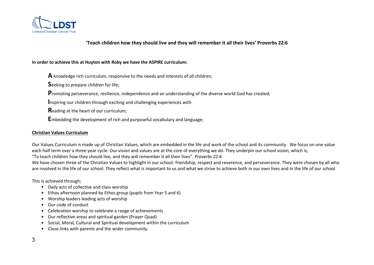

## **'Teach children how they should live and they will remember it all their lives' Proverbs 22:6**

#### **In order to achieve this at Huyton with Roby we have the ASPIRE curriculum:**

**A** knowledge rich curriculum, responsive to the needs and interests of all children;

**S**eeking to prepare children for life;

**P**romoting perseverance, resilience, independence and an understanding of the diverse world God has created;

**I**nspiring our children through exciting and challenging experiences with

**R**eading at the heart of our curriculum;

**E**mbedding the development of rich and purposeful vocabulary and language;

#### **Christian Values Curriculum**

Our Values Curriculum is made up of Christian Values, which are embedded in the life and work of the school and its community. We focus on one value each half term over a three-year cycle. Our vision and values are at the core of everything we do. They underpin our school vision, which is;

"To teach children how they should live, and they will remember it all their lives". *Proverbs 22:6*

We have chosen three of the Christian Values to highlight in our school: friendship, respect and reverence, and perseverance. They were chosen by all who are involved in the life of our school. They reflect what is important to us and what we strive to achieve both in our own lives and in the life of our school

This is achieved through;

- Daily acts of collective and class worship
- Ethos afternoon planned by Ethos group (pupils from Year 5 and 6)
- Worship leaders leading acts of worship
- Our code of conduct
- Celebration worship to celebrate a range of achievements
- Our reflective areas and spiritual garden (Prayer Quad)
- Social, Moral, Cultural and Spiritual development within the curriculum
- Close links with parents and the wider community.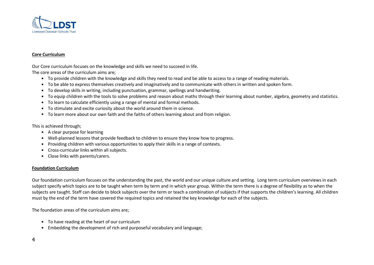

#### **Core Curriculum**

Our Core curriculum focuses on the knowledge and skills we need to succeed in life.

The core areas of the curriculum aims are;

- To provide children with the knowledge and skills they need to read and be able to access to a range of reading materials.
- To be able to express themselves creatively and imaginatively and to communicate with others in written and spoken form.
- To develop skills in writing, including punctuation, grammar, spellings and handwriting.
- To equip children with the tools to solve problems and reason about maths through their learning about number, algebra, geometry and statistics.
- To learn to calculate efficiently using a range of mental and formal methods.
- To stimulate and excite curiosity about the world around them in science.
- To learn more about our own faith and the faiths of others learning about and from religion.

This is achieved through;

- A clear purpose for learning
- Well-planned lessons that provide feedback to children to ensure they know how to progress.
- Providing children with various opportunities to apply their skills in a range of contexts.
- Cross-curricular links within all subjects.
- Close links with parents/carers.

#### **Foundation Curriculum**

Our foundation curriculum focuses on the understanding the past, the world and our unique culture and setting. Long term curriculum overviews in each subject specify which topics are to be taught when term by term and in which year group. Within the term there is a degree of flexibility as to when the subjects are taught. Staff can decide to block subjects over the term or teach a combination of subjects if that supports the children's learning. All children must by the end of the term have covered the required topics and retained the key knowledge for each of the subjects.

The foundation areas of the curriculum aims are;

- To have reading at the heart of our curriculum
- Embedding the development of rich and purposeful vocabulary and language;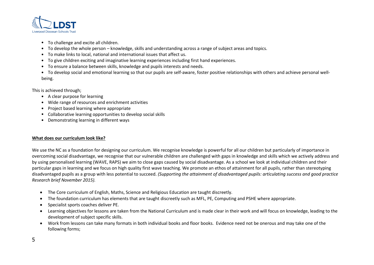

- To challenge and excite all children.
- To develop the whole person knowledge, skills and understanding across a range of subject areas and topics.
- To make links to local, national and international issues that affect us.
- To give children exciting and imaginative learning experiences including first hand experiences.
- To ensure a balance between skills, knowledge and pupils interests and needs.
- To develop social and emotional learning so that our pupils are self-aware, foster positive relationships with others and achieve personal wellbeing.

This is achieved through;

- A clear purpose for learning
- Wide range of resources and enrichment activities
- Project based learning where appropriate
- Collaborative learning opportunities to develop social skills
- Demonstrating learning in different ways

### **What does our curriculum look like?**

We use the NC as a foundation for designing our curriculum. We recognise knowledge is powerful for all our children but particularly of importance in overcoming social disadvantage, we recognise that our vulnerable children are challenged with gaps in knowledge and skills which we actively address and by using personalised learning (WAVE, RAPS) we aim to close gaps caused by social disadvantage. As a school we look at individual children and their particular gaps in learning and we focus on high quality first wave teaching. We promote an ethos of attainment for all pupils, rather than stereotyping disadvantaged pupils as a group with less potential to succeed. *(Supporting the attainment of disadvantaged pupils: articulating success and good practice Research brief November 2015).* 

- The Core curriculum of English, Maths, Science and Religious Education are taught discreetly.
- The foundation curriculum has elements that are taught discreetly such as MFL, PE, Computing and PSHE where appropriate.
- Specialist sports coaches deliver PE.
- Learning objectives for lessons are taken from the National Curriculum and is made clear in their work and will focus on knowledge, leading to the development of subject specific skills.
- Work from lessons can take many formats in both individual books and floor books. Evidence need not be onerous and may take one of the following forms;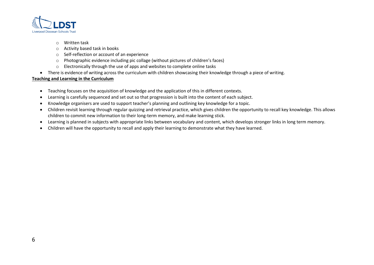

- o Written task
- o Activity based task in books
- o Self-reflection or account of an experience
- o Photographic evidence including pic collage (without pictures of children's faces)
- o Electronically through the use of apps and websites to complete online tasks
- There is evidence of writing across the curriculum with children showcasing their knowledge through a piece of writing.

# **Teaching and Learning in the Curriculum**

- Teaching focuses on the acquisition of knowledge and the application of this in different contexts.
- Learning is carefully sequenced and set out so that progression is built into the content of each subject.
- Knowledge organisers are used to support teacher's planning and outlining key knowledge for a topic.
- Children revisit learning through regular quizzing and retrieval practice, which gives children the opportunity to recall key knowledge. This allows children to commit new information to their long-term memory, and make learning stick.
- Learning is planned in subjects with appropriate links between vocabulary and content, which develops stronger links in long term memory.
- Children will have the opportunity to recall and apply their learning to demonstrate what they have learned.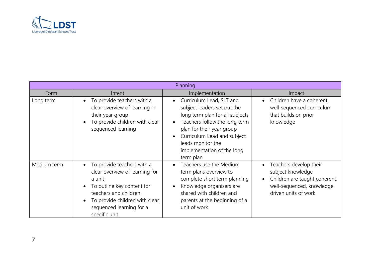

| Planning    |                                                                                                                                                                                                                                                     |                                                                                                                                                                                                                                                                      |                                                                                                                                   |  |  |  |
|-------------|-----------------------------------------------------------------------------------------------------------------------------------------------------------------------------------------------------------------------------------------------------|----------------------------------------------------------------------------------------------------------------------------------------------------------------------------------------------------------------------------------------------------------------------|-----------------------------------------------------------------------------------------------------------------------------------|--|--|--|
| Form        | Intent                                                                                                                                                                                                                                              | Implementation                                                                                                                                                                                                                                                       | Impact                                                                                                                            |  |  |  |
| Long term   | To provide teachers with a<br>$\bullet$<br>clear overview of learning in<br>their year group<br>To provide children with clear<br>$\bullet$<br>sequenced learning                                                                                   | Curriculum Lead, SLT and<br>$\bullet$<br>subject leaders set out the<br>long term plan for all subjects<br>Teachers follow the long term<br>plan for their year group<br>Curriculum Lead and subject<br>leads monitor the<br>implementation of the long<br>term plan | Children have a coherent,<br>well-sequenced curriculum<br>that builds on prior<br>knowledge                                       |  |  |  |
| Medium term | To provide teachers with a<br>$\bullet$<br>clear overview of learning for<br>a unit<br>To outline key content for<br>$\bullet$<br>teachers and children<br>To provide children with clear<br>$\bullet$<br>sequenced learning for a<br>specific unit | Teachers use the Medium<br>term plans overview to<br>complete short term planning<br>Knowledge organisers are<br>shared with children and<br>parents at the beginning of a<br>unit of work                                                                           | Teachers develop their<br>subject knowledge<br>Children are taught coherent,<br>well-sequenced, knowledge<br>driven units of work |  |  |  |